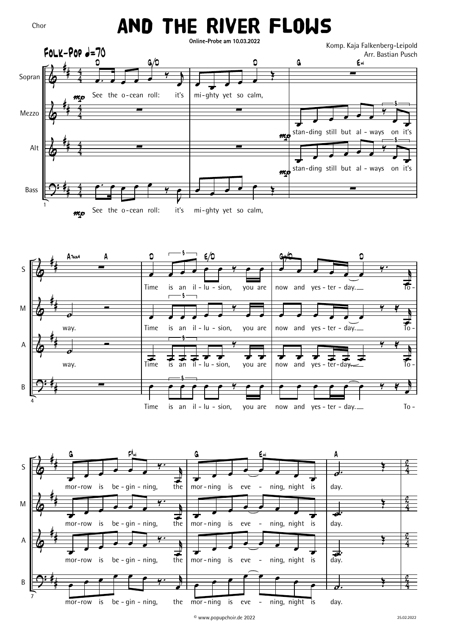## And The River Flows

Chor